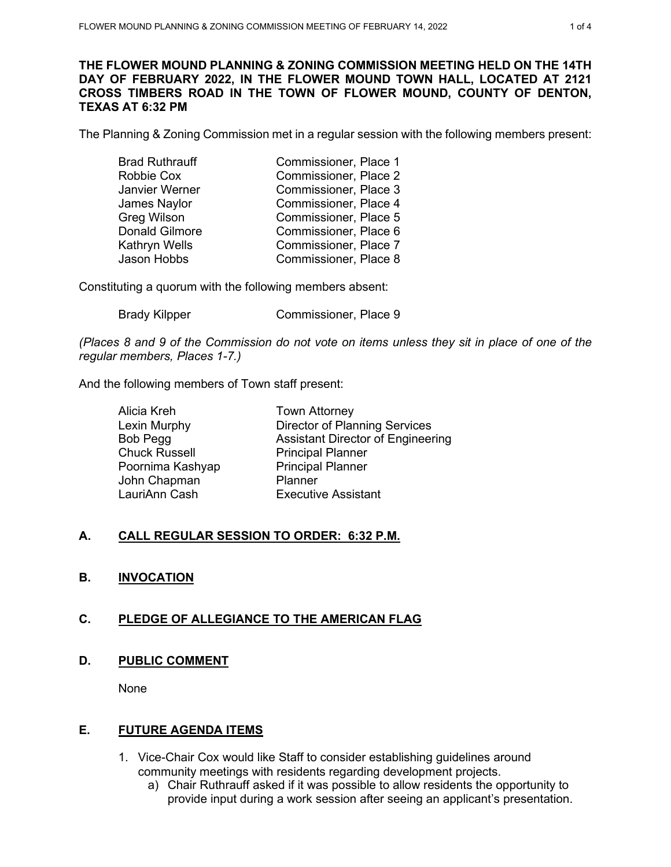### **THE FLOWER MOUND PLANNING & ZONING COMMISSION MEETING HELD ON THE 14TH DAY OF FEBRUARY 2022, IN THE FLOWER MOUND TOWN HALL, LOCATED AT 2121 CROSS TIMBERS ROAD IN THE TOWN OF FLOWER MOUND, COUNTY OF DENTON, TEXAS AT 6:32 PM**

The Planning & Zoning Commission met in a regular session with the following members present:

| <b>Brad Ruthrauff</b> | Commissioner, Place 1 |
|-----------------------|-----------------------|
| Robbie Cox            | Commissioner, Place 2 |
| Janvier Werner        | Commissioner, Place 3 |
| James Naylor          | Commissioner, Place 4 |
| <b>Greg Wilson</b>    | Commissioner, Place 5 |
| <b>Donald Gilmore</b> | Commissioner, Place 6 |
| Kathryn Wells         | Commissioner, Place 7 |
| Jason Hobbs           | Commissioner, Place 8 |

Constituting a quorum with the following members absent:

Brady Kilpper Commissioner, Place 9

*(Places 8 and 9 of the Commission do not vote on items unless they sit in place of one of the regular members, Places 1-7.)*

And the following members of Town staff present:

| <b>Town Attorney</b>                     |
|------------------------------------------|
| <b>Director of Planning Services</b>     |
| <b>Assistant Director of Engineering</b> |
| <b>Principal Planner</b>                 |
| <b>Principal Planner</b>                 |
| Planner                                  |
| <b>Executive Assistant</b>               |
|                                          |

## **A. CALL REGULAR SESSION TO ORDER: 6:32 P.M.**

## **B. INVOCATION**

## **C. PLEDGE OF ALLEGIANCE TO THE AMERICAN FLAG**

## **D. PUBLIC COMMENT**

None

#### **E. FUTURE AGENDA ITEMS**

- 1. Vice-Chair Cox would like Staff to consider establishing guidelines around community meetings with residents regarding development projects.
	- a) Chair Ruthrauff asked if it was possible to allow residents the opportunity to provide input during a work session after seeing an applicant's presentation.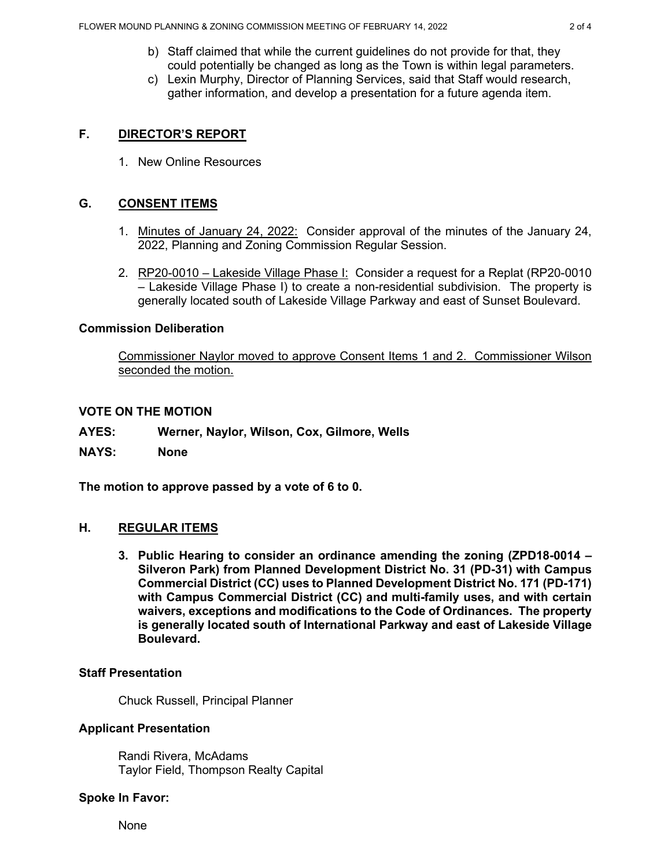- b) Staff claimed that while the current guidelines do not provide for that, they could potentially be changed as long as the Town is within legal parameters.
- c) Lexin Murphy, Director of Planning Services, said that Staff would research, gather information, and develop a presentation for a future agenda item.

## **F. DIRECTOR'S REPORT**

1. New Online Resources

## **G. CONSENT ITEMS**

- 1. Minutes of January 24, 2022: Consider approval of the minutes of the January 24, 2022, Planning and Zoning Commission Regular Session.
- 2. RP20-0010 Lakeside Village Phase I: Consider a request for a Replat (RP20-0010 – Lakeside Village Phase I) to create a non-residential subdivision. The property is generally located south of Lakeside Village Parkway and east of Sunset Boulevard.

#### **Commission Deliberation**

Commissioner Naylor moved to approve Consent Items 1 and 2. Commissioner Wilson seconded the motion.

### **VOTE ON THE MOTION**

- **AYES: Werner, Naylor, Wilson, Cox, Gilmore, Wells**
- **NAYS: None**

**The motion to approve passed by a vote of 6 to 0.** 

#### **H. REGULAR ITEMS**

**3. Public Hearing to consider an ordinance amending the zoning (ZPD18-0014 – Silveron Park) from Planned Development District No. 31 (PD-31) with Campus Commercial District (CC) uses to Planned Development District No. 171 (PD-171) with Campus Commercial District (CC) and multi-family uses, and with certain waivers, exceptions and modifications to the Code of Ordinances. The property is generally located south of International Parkway and east of Lakeside Village Boulevard.** 

#### **Staff Presentation**

Chuck Russell, Principal Planner

#### **Applicant Presentation**

Randi Rivera, McAdams Taylor Field, Thompson Realty Capital

#### **Spoke In Favor:**

None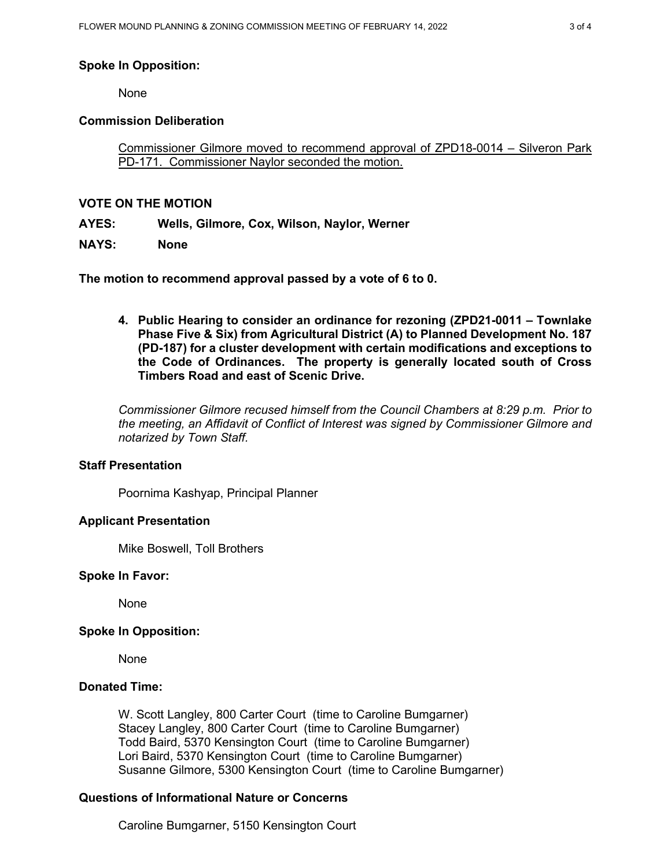### **Spoke In Opposition:**

None

### **Commission Deliberation**

Commissioner Gilmore moved to recommend approval of ZPD18-0014 – Silveron Park PD-171. Commissioner Naylor seconded the motion.

### **VOTE ON THE MOTION**

**AYES: Wells, Gilmore, Cox, Wilson, Naylor, Werner**

**NAYS: None**

**The motion to recommend approval passed by a vote of 6 to 0.** 

**4. Public Hearing to consider an ordinance for rezoning (ZPD21-0011 – Townlake Phase Five & Six) from Agricultural District (A) to Planned Development No. 187 (PD-187) for a cluster development with certain modifications and exceptions to the Code of Ordinances. The property is generally located south of Cross Timbers Road and east of Scenic Drive.** 

*Commissioner Gilmore recused himself from the Council Chambers at 8:29 p.m. Prior to the meeting, an Affidavit of Conflict of Interest was signed by Commissioner Gilmore and notarized by Town Staff.*

#### **Staff Presentation**

Poornima Kashyap, Principal Planner

#### **Applicant Presentation**

Mike Boswell, Toll Brothers

#### **Spoke In Favor:**

None

#### **Spoke In Opposition:**

None

## **Donated Time:**

W. Scott Langley, 800 Carter Court (time to Caroline Bumgarner) Stacey Langley, 800 Carter Court (time to Caroline Bumgarner) Todd Baird, 5370 Kensington Court (time to Caroline Bumgarner) Lori Baird, 5370 Kensington Court (time to Caroline Bumgarner) Susanne Gilmore, 5300 Kensington Court (time to Caroline Bumgarner)

## **Questions of Informational Nature or Concerns**

Caroline Bumgarner, 5150 Kensington Court